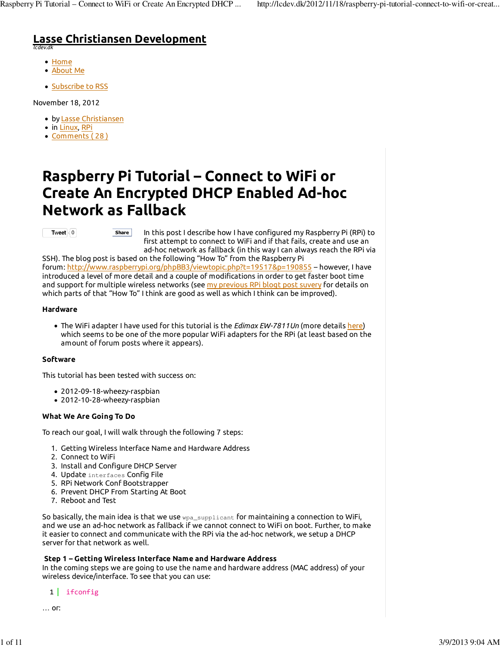# **Lasse Christiansen Development** *lcdev.dk*

- Home
- About Me
- Subscribe to RSS

November 18, 2012

- by Lasse Christiansen
- in Linux, RPi
- Comments ( 28 )

# **Raspberry Pi Tutorial – Connect to WiFi or Create An Encrypted DHCP Enabled Ad-hoc Network as Fallback**

#### **Tweet**  $\frac{1}{2}$  0

In this post I describe how I have configured my Raspberry Pi (RPi) to first attempt to connect to WiFi and if that fails, create and use an ad-hoc network as fallback (in this way I can always reach the RPi via **Share**

SSH). The blog post is based on the following "How To" from the Raspberry Pi forum: http://www.raspberrypi.org/phpBB3/viewtopic.php?t=19517&p=190855 – however, I have introduced a level of more detail and a couple of modifications in order to get faster boot time and support for multiple wireless networks (see my previous RPi blogt post suvery for details on which parts of that "How To" I think are good as well as which I think can be improved).

## **Hardware**

The WiFi adapter I have used for this tutorial is the *Edimax EW-7811Un* (more details here) which seems to be one of the more popular WiFi adapters for the RPi (at least based on the amount of forum posts where it appears).

# **Software**

This tutorial has been tested with success on:

- 2012-09-18-wheezy-raspbian
- 2012-10-28-wheezy-raspbian

# **What We Are Going To Do**

To reach our goal, I will walk through the following 7 steps:

- 1. Getting Wireless Interface Name and Hardware Address
- 2. Connect to WiFi
- 3. Install and Configure DHCP Server
- 4. Update interfaces Config File
- 5. RPi Network Conf Bootstrapper
- 6. Prevent DHCP From Starting At Boot
- 7. Reboot and Test

So basically, the main idea is that we use  $wpa\_supplicant$  for maintaining a connection to WiFi, and we use an ad-hoc network as fallback if we cannot connect to WiFi on boot. Further, to make it easier to connect and communicate with the RPi via the ad-hoc network, we setup a DHCP server for that network as well.

# **Step 1 – Getting Wireless Interface Name and Hardware Address**

In the coming steps we are going to use the name and hardware address (MAC address) of your wireless device/interface. To see that you can use:

1 ifconfig

… or: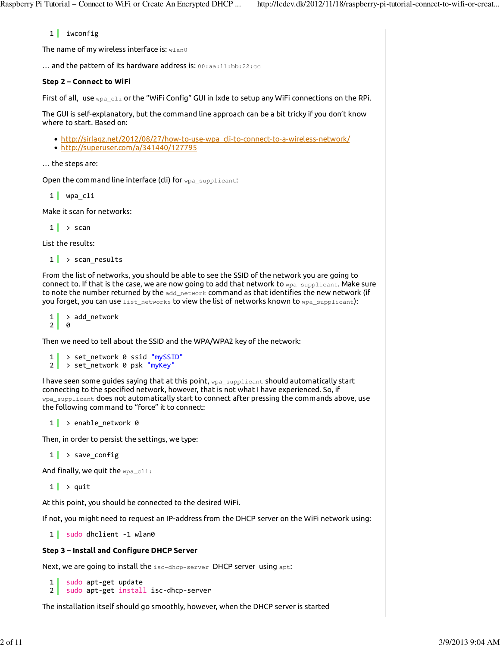# 1 iwconfig

The name of my wireless interface is: wlan0

… and the pattern of its hardware address is: 00:aa:11:bb:22:cc

## **Step 2 – Connect to WiFi**

First of all, use  $wp_{a_c}$ cli or the "WiFi Config" GUI in lxde to setup any WiFi connections on the RPi.

The GUI is self-explanatory, but the command line approach can be a bit tricky if you don't know where to start. Based on:

- http://sirlagz.net/2012/08/27/how-to-use-wpa\_cli-to-connect-to-a-wireless-network/
- http://superuser.com/a/341440/127795

… the steps are:

Open the command line interface (cli) for wpa\_supplicant:

1 | wpa cli

Make it scan for networks:

 $1 \mid \cdot \rangle$  scan

List the results:

 $1$  > scan\_results

From the list of networks, you should be able to see the SSID of the network you are going to connect to. If that is the case, we are now going to add that network to  $_{\text{wpa\_support}}$ . Make sure to note the number returned by the  $\text{add\_network}$  command as that identifies the new network (if you forget, you can use list\_networks to view the list of networks known to wpa\_supplicant):

1  $2<sup>1</sup>$ > add\_network 0

Then we need to tell about the SSID and the WPA/WPA2 key of the network:

```
1
2
> set_network 0 psk "myKey"
   > set_network 0 ssid "mySSID"
```
I have seen some guides saying that at this point, wpa\_supplicant should automatically start connecting to the specified network, however, that is not what I have experienced. So, if wpa\_supplicant does not automatically start to connect after pressing the commands above, use the following command to "force" it to connect:

 $1 \rightarrow$  enable network 0

Then, in order to persist the settings, we type:

 $1 \rightarrow$  save config

And finally, we quit the wpa\_cli:

 $1 \rightharpoonup$  quit

At this point, you should be connected to the desired WiFi.

If not, you might need to request an IP-address from the DHCP server on the WiFi network using:

1 sudo dhclient -1 wlan0

### **Step 3 – Install and Configure DHCP Server**

Next, we are going to install the isc-dhcp-server DHCP server using apt:

```
1
2
   sudo apt‐get update
   sudo apt‐get install isc‐dhcp‐server
```
The installation itself should go smoothly, however, when the DHCP server is started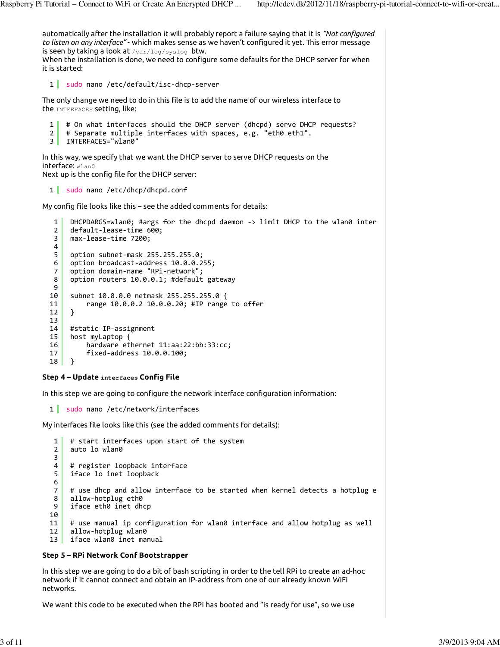automatically after the installation it will probably report a failure saying that it is *"Not configured to listen on any interface"* - which makes sense as we haven't configured it yet. This error message is seen by taking a look at /var/log/syslog btw. When the installation is done, we need to configure some defaults for the DHCP server for when it is started: The only change we need to do in this file is to add the name of our wireless interface to the INTERFACES setting, like: In this way, we specify that we want the DHCP server to serve DHCP requests on the interface: wlan0 Next up is the config file for the DHCP server: My config file looks like this – see the added comments for details: **Step 4 – Update interfaces Config File** In this step we are going to configure the network interface configuration information: My interfaces file looks like this (see the added comments for details): **Step 5 – RPi Network Conf Bootstrapper** In this step we are going to do a bit of bash scripting in order to the tell RPi to create an ad-hoc network if it cannot connect and obtain an IP-address from one of our already known WiFi networks. We want this code to be executed when the RPi has booted and "is ready for use", so we use 1 sudo nano /etc/default/isc-dhcp-server 1  $\mathfrak{p}$ 3 INTERFACES="wlan0" # On what interfaces should the DHCP server (dhcpd) serve DHCP requests? # Separate multiple interfaces with spaces, e.g. "eth0 eth1". 1 sudo nano /etc/dhcp/dhcpd.conf 1 2 3 4 5 6 7 8 9 10 11 12 13 14 15 16 17 18  $D$ HCPDARGS=wlan $\theta$ ; #args for the dhcpd daemon  $\rightarrow$  limit DHCP to the wlan $\theta$  inter default‐lease‐time 600; max‐lease‐time 7200; option subnet‐mask 255.255.255.0; option broadcast‐address 10.0.0.255; option domain‐name "RPi‐network"; option routers 10.0.0.1; #default gateway subnet 10.0.0.0 netmask 255.255.255.0 { range 10.0.0.2 10.0.0.20; #IP range to offer } #static IP‐assignment host myLaptop { hardware ethernet 11:aa:22:bb:33:cc; fixed‐address 10.0.0.100; } 1 sudo nano /etc/network/interfaces 1  $\mathfrak{p}$ 3 4 5 6 7 8 9 10 11 12 13 # start interfaces upon start of the system auto lo wlan0 # register loopback interface iface lo inet loopback # use dhcp and allow interface to be started when kernel detects a hotplug e allow‐hotplug eth0 iface eth0 inet dhcp # use manual ip configuration for wlan0 interface and allow hotplug as well allow‐hotplug wlan0 iface wlan0 inet manual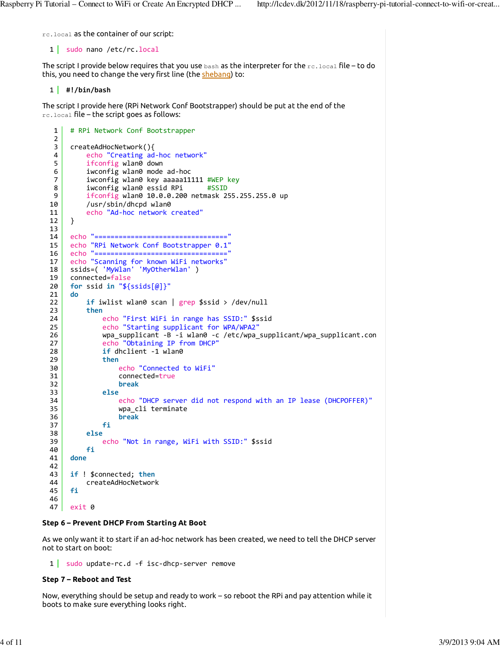rc.local as the container of our script:

1 sudo nano /etc/rc.local

The script I provide below requires that you use bash as the interpreter for the rc.local file – to do this, you need to change the very first line (the shebang) to:

1 **#!/bin/bash**

The script I provide here (RPi Network Conf Bootstrapper) should be put at the end of the rc.local file – the script goes as follows:

```
1
 2
 3
 4
 5
 6
 7
 8
 9
10
11
12
13
14
15
16
17
18
19
20
21
22
23
24
25
26
27
28
29
30
31
32
33
34
35
36
37
38
39
40
41
42
43
44
45
46
47
     # RPi Network Conf Bootstrapper
     createAdHocNetwork(){
          echo "Creating ad‐hoc network"
          ifconfig wlan0 down
          iwconfig wlan0 mode ad‐hoc
          iwconfig wlan0 key aaaaa11111 #WEP key
          iwconfig wlan0 essid RPi #SSID
          ifconfig wlan0 10.0.0.200 netmask 255.255.255.0 up
          /usr/sbin/dhcpd wlan0
          echo "Ad‐hoc network created"
     }
     echo "================================="
     echo "RPi Network Conf Bootstrapper 0.1"
     echo "================================="
     echo "Scanning for known WiFi networks"
     ssids=( 'MyWlan' 'MyOtherWlan' )
     connected=false
     for ssid in "${ssids[@]}"
     do
          if iwlist wlan0 scan | grep $ssid > /dev/null
          then
              echo "First WiFi in range has SSID:" $ssid
              echo "Starting supplicant for WPA/WPA2"
             wpa_supplicant -B -i wlan0 -c /etc/wpa_supplicant/wpa_supplicant.con
              echo "Obtaining IP from DHCP"
              if dhclient ‐1 wlan0
              then
                   echo "Connected to WiFi"
                   connected=true
                   break
              else
                   echo "DHCP server did not respond with an IP lease (DHCPOFFER)"
                   wpa_cli terminate
                   break
              fi
          else
              echo "Not in range, WiFi with SSID:" $ssid
          fi
     done
     if ! $connected; then
          createAdHocNetwork
     fi
     exit 0
```
### **Step 6 – Prevent DHCP From Starting At Boot**

As we only want it to start if an ad-hoc network has been created, we need to tell the DHCP server not to start on boot:

1 sudo update-rc.d -f isc-dhcp-server remove

#### **Step 7 – Reboot and Test**

Now, everything should be setup and ready to work – so reboot the RPi and pay attention while it boots to make sure everything looks right.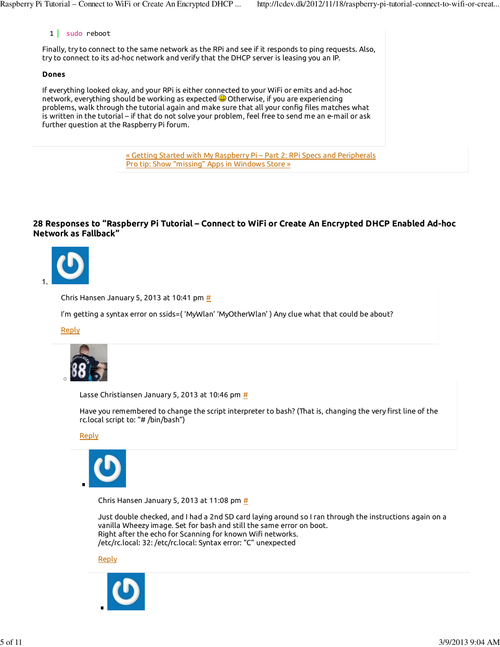# 1 sudo reboot

Finally, try to connect to the same network as the RPi and see if it responds to ping requests. Also, try to connect to its ad-hoc network and verify that the DHCP server is leasing you an IP.

## **Dones**

If everything looked okay, and your RPi is either connected to your WiFi or emits and ad-hoc network, everything should be working as expected **O** Otherwise, if you are experiencing problems, walk through the tutorial again and make sure that all your config files matches what is written in the tutorial – if that do not solve your problem, feel free to send me an e-mail or ask further question at the Raspberry Pi forum.

> « Getting Started with My Raspberry Pi – Part 2: RPi Specs and Peripherals Pro tip: Show "missing" Apps in Windows Store »

# **28 Responses to "Raspberry Pi Tutorial – Connect to WiFi or Create An Encrypted DHCP Enabled Ad-hoc Network as Fallback"**



Chris Hansen January 5, 2013 at 10:41 pm  $\frac{\text{#}}{\text{#}}$ 

I'm getting a syntax error on ssids=( 'MyWlan' 'MyOtherWlan' ) Any clue what that could be about?

Reply



Lasse Christiansen January 5, 2013 at 10:46 pm  $\frac{\textit{H}}{\textit{B}}$ 

Have you remembered to change the script interpreter to bash? (That is, changing the very first line of the rc.local script to: "# /bin/bash")

**Reply** 



Chris Hansen January 5, 2013 at 11:08 pm  $\frac{\textit{H}}{\textit{H}}$ 

Just double checked, and I had a 2nd SD card laying around so I ran through the instructions again on a vanilla Wheezy image. Set for bash and still the same error on boot. Right after the echo for Scanning for known Wifi networks. /etc/rc.local: 32: /etc/rc.local: Syntax error: "C" unexpected

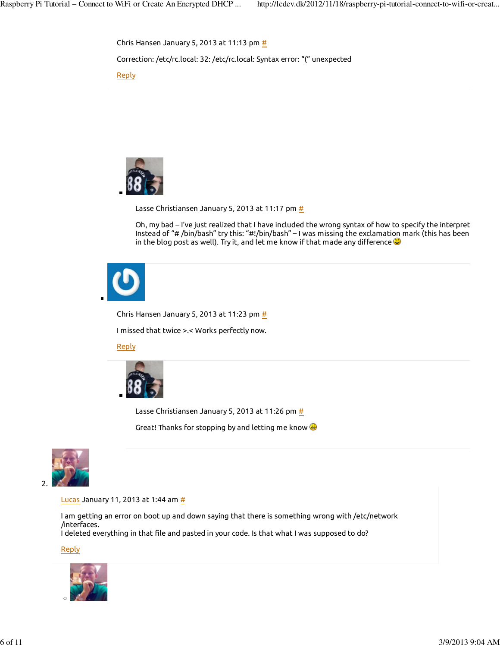



Lasse Christiansen January 5, 2013 at 11:17 pm  $\frac{\textit{H}}{\textit{B}}$ 

Oh, my bad – I've just realized that I have included the wrong syntax of how to specify the interpret Instead of "# /bin/bash" try this: "#!/bin/bash" – I was missing the exclamation mark (this has been in the blog post as well). Try it, and let me know if that made any difference  $\bigcirc$ 



Chris Hansen January 5, 2013 at 11:23 pm  $\frac{\textit{H}}{\textit{B}}$ 

I missed that twice >.< Works perfectly now.

### **Reply**



Lasse Christiansen January 5, 2013 at 11:26 pm  $\frac{\textit{H}}{\textit{B}}$ 

Great! Thanks for stopping by and letting me know  $\mathbf{\Theta}$ 



#### Lucas January 11, 2013 at 1:44 am  $\frac{\mu}{L}$

I am getting an error on boot up and down saying that there is something wrong with /etc/network /interfaces.

I deleted everything in that file and pasted in your code. Is that what I was supposed to do?

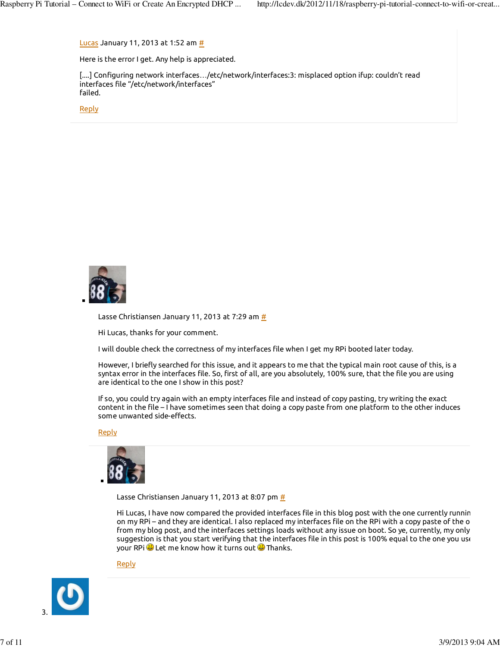Lucas January 11, 2013 at 1:52 am  $\frac{\mu}{L}$ 

Here is the error I get. Any help is appreciated.

[....] Configuring network interfaces…/etc/network/interfaces:3: misplaced option ifup: couldn't read interfaces file "/etc/network/interfaces" failed.

**Reply** 



Lasse Christiansen January 11, 2013 at 7:29 am  $#$ 

Hi Lucas, thanks for your comment.

I will double check the correctness of my interfaces file when I get my RPi booted later today.

However, I briefly searched for this issue, and it appears to me that the typical main root cause of this, is a syntax error in the interfaces file. So, first of all, are you absolutely, 100% sure, that the file you are using are identical to the one I show in this post?

If so, you could try again with an empty interfaces file and instead of copy pasting, try writing the exact content in the file – I have sometimes seen that doing a copy paste from one platform to the other induces some unwanted side-effects.

#### Reply



Lasse Christiansen January 11, 2013 at 8:07 pm  $\frac{\textit{H}}{\textit{H}}$ 

Hi Lucas, I have now compared the provided interfaces file in this blog post with the one currently runnin on my RPi – and they are identical. I also replaced my interfaces file on the RPi with a copy paste of the o from my blog post, and the interfaces settings loads without any issue on boot. So ye, currently, my only suggestion is that you start verifying that the interfaces file in this post is 100% equal to the one you use your RPi  $\bigcirc$  Let me know how it turns out  $\bigcirc$  Thanks.

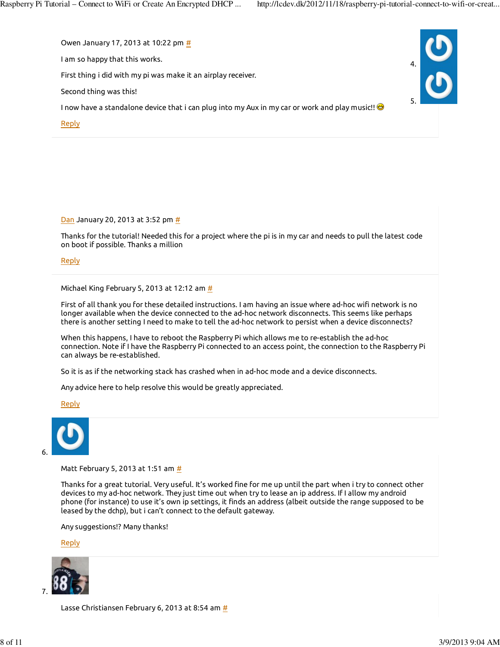

 $\underline{\mathsf{Dan}}$  January 20, 2013 at 3:52 pm  $\underline{\textit{#}}$ 

Thanks for the tutorial! Needed this for a project where the pi is in my car and needs to pull the latest code on boot if possible. Thanks a million

**Reply** 

Michael King February 5, 2013 at 12:12 am  $\frac{\mu}{L}$ 

First of all thank you for these detailed instructions. I am having an issue where ad-hoc wifi network is no longer available when the device connected to the ad-hoc network disconnects. This seems like perhaps there is another setting I need to make to tell the ad-hoc network to persist when a device disconnects?

When this happens, I have to reboot the Raspberry Pi which allows me to re-establish the ad-hoc connection. Note if I have the Raspberry Pi connected to an access point, the connection to the Raspberry Pi can always be re-established.

So it is as if the networking stack has crashed when in ad-hoc mode and a device disconnects.

Any advice here to help resolve this would be greatly appreciated.

Reply



Matt February 5, 2013 at 1:51 am #

Thanks for a great tutorial. Very useful. It's worked fine for me up until the part when i try to connect other devices to my ad-hoc network. They just time out when try to lease an ip address. If I allow my android phone (for instance) to use it's own ip settings, it finds an address (albeit outside the range supposed to be leased by the dchp), but i can't connect to the default gateway.

Any suggestions!? Many thanks!

Reply



Lasse Christiansen February 6, 2013 at 8:54 am #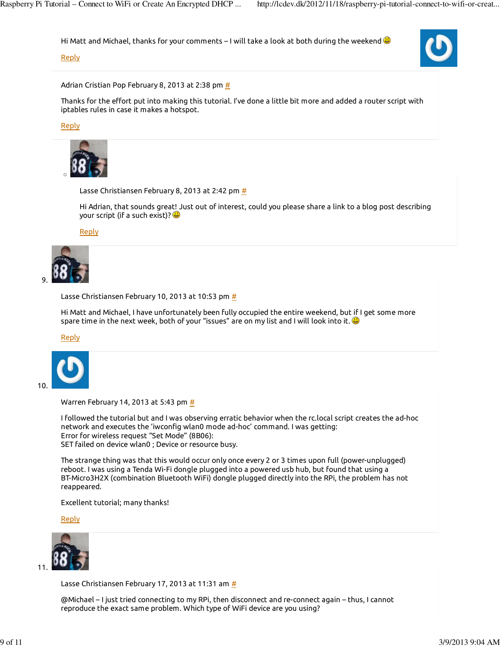Hi Matt and Michael, thanks for your comments – I will take a look at both during the weekend  $\bigcirc$ 

### **Reply**

Adrian Cristian Pop February 8, 2013 at 2:38 pm  $\frac{\textit{H}}{\textit{B}}$ 

Thanks for the effort put into making this tutorial. I've done a little bit more and added a router script with iptables rules in case it makes a hotspot.

Reply



Lasse Christiansen February 8, 2013 at 2:42 pm  $\frac{\mu}{2}$ 

Hi Adrian, that sounds great! Just out of interest, could you please share a link to a blog post describing your script (if a such exist)?

Reply



Lasse Christiansen February 10, 2013 at 10:53 pm  $\underline{\#}$ 

Hi Matt and Michael, I have unfortunately been fully occupied the entire weekend, but if I get some more spare time in the next week, both of your "issues" are on my list and I will look into it.  $\bullet$ 

Reply



Warren February 14, 2013 at 5:43 pm  $\frac{\textit{H}}{\textit{H}}$ 

I followed the tutorial but and I was observing erratic behavior when the rc.local script creates the ad-hoc network and executes the 'iwconfig wlan0 mode ad-hoc' command. I was getting: Error for wireless request "Set Mode" (8B06): SET failed on device wlan0 ; Device or resource busy.

The strange thing was that this would occur only once every 2 or 3 times upon full (power-unplugged) reboot. I was using a Tenda Wi-Fi dongle plugged into a powered usb hub, but found that using a BT-Micro3H2X (combination Bluetooth WiFi) dongle plugged directly into the RPi, the problem has not reappeared.

Excellent tutorial; many thanks!

Reply



Lasse Christiansen February 17, 2013 at 11:31 am  $#$ 

@Michael – I just tried connecting to my RPi, then disconnect and re-connect again – thus, I cannot reproduce the exact same problem. Which type of WiFi device are you using?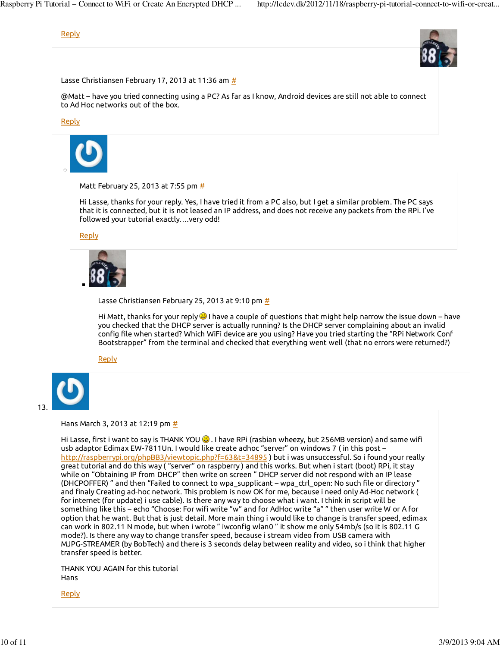# Reply



Lasse Christiansen February 17, 2013 at 11:36 am #

@Matt – have you tried connecting using a PC? As far as I know, Android devices are still not able to connect to Ad Hoc networks out of the box.

Reply



Matt February 25, 2013 at 7:55 pm #

Hi Lasse, thanks for your reply. Yes, I have tried it from a PC also, but I get a similar problem. The PC says that it is connected, but it is not leased an IP address, and does not receive any packets from the RPi. I've followed your tutorial exactly….very odd!

Reply



Lasse Christiansen February 25, 2013 at 9:10 pm  $\frac{\textit{H}}{\textit{B}}$ 

Hi Matt, thanks for your reply  $\bigcircledast$  I have a couple of questions that might help narrow the issue down – have you checked that the DHCP server is actually running? Is the DHCP server complaining about an invalid config file when started? Which WiFi device are you using? Have you tried starting the "RPi Network Conf Bootstrapper" from the terminal and checked that everything went well (that no errors were returned?)

Reply



Hans March 3, 2013 at 12:19 pm #

Hi Lasse, first i want to say is THANK YOU  $\bigcirc$ . I have RPi (rasbian wheezy, but 256MB version) and same wifi usb adaptor Edimax EW-7811Un. I would like create adhoc "server" on windows 7 ( in this post – http://raspberrypi.org/phpBB3/viewtopic.php?f=63&t=34895 ) but i was unsuccessful. So i found your really great tutorial and do this way ( "server" on raspberry ) and this works. But when i start (boot) RPi, it stay while on "Obtaining IP from DHCP" then write on screen " DHCP server did not respond with an IP lease (DHCPOFFER) " and then "Failed to connect to wpa\_supplicant – wpa\_ctrl\_open: No such file or directory " and finaly Creating ad-hoc network. This problem is now OK for me, because i need only Ad-Hoc network ( for internet (for update) i use cable). Is there any way to choose what i want. I think in script will be something like this – echo "Choose: For wifi write "w" and for AdHoc write "a" " then user write W or A for option that he want. But that is just detail. More main thing i would like to change is transfer speed, edimax can work in 802.11 N mode, but when i wrote " iwconfig wlan0 " it show me only 54mb/s (so it is 802.11 G mode?). Is there any way to change transfer speed, because i stream video from USB camera with MJPG-STREAMER (by BobTech) and there is 3 seconds delay between reality and video, so i think that higher transfer speed is better.

THANK YOU AGAIN for this tutorial Hans